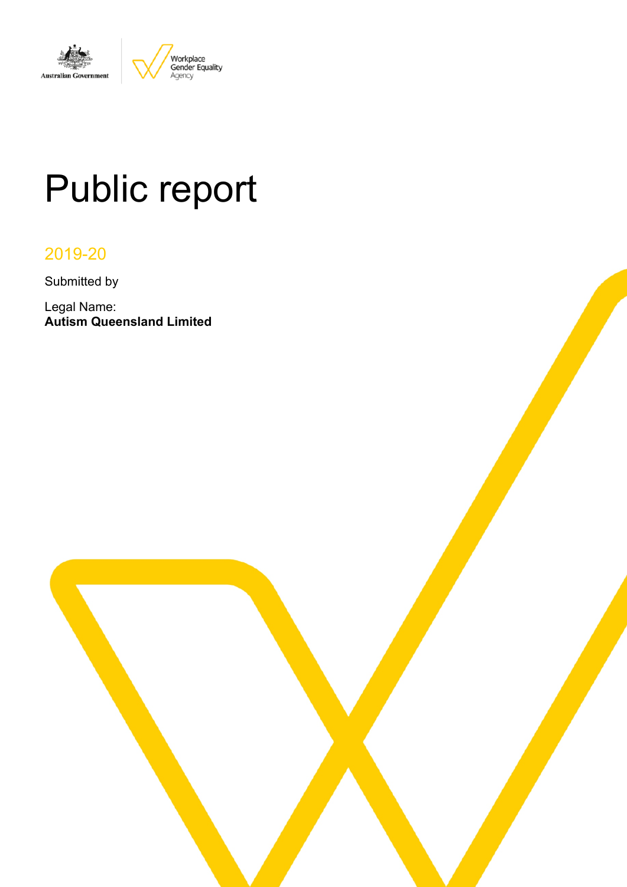

# Public report

# 2019-20

Submitted by

Legal Name: **Autism Queensland Limited**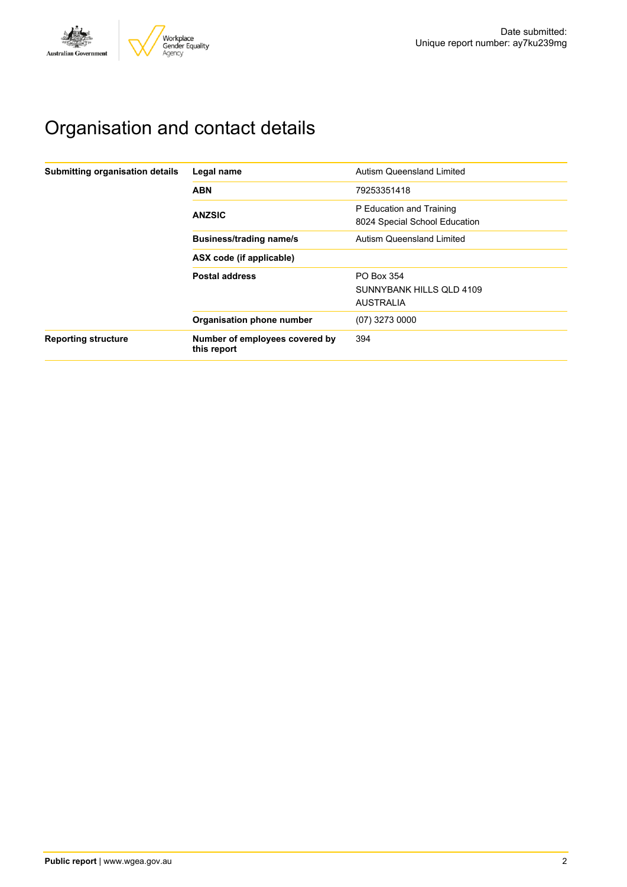

# Organisation and contact details

| Submitting organisation details | Legal name                                    | Autism Queensland Limited                                  |
|---------------------------------|-----------------------------------------------|------------------------------------------------------------|
|                                 | <b>ABN</b>                                    | 79253351418                                                |
|                                 | <b>ANZSIC</b>                                 | P Education and Training<br>8024 Special School Education  |
|                                 | <b>Business/trading name/s</b>                | Autism Queensland Limited                                  |
|                                 | ASX code (if applicable)                      |                                                            |
|                                 | <b>Postal address</b>                         | PO Box 354<br>SUNNYBANK HILLS OLD 4109<br><b>AUSTRALIA</b> |
|                                 | Organisation phone number                     | $(07)$ 3273 0000                                           |
| <b>Reporting structure</b>      | Number of employees covered by<br>this report | 394                                                        |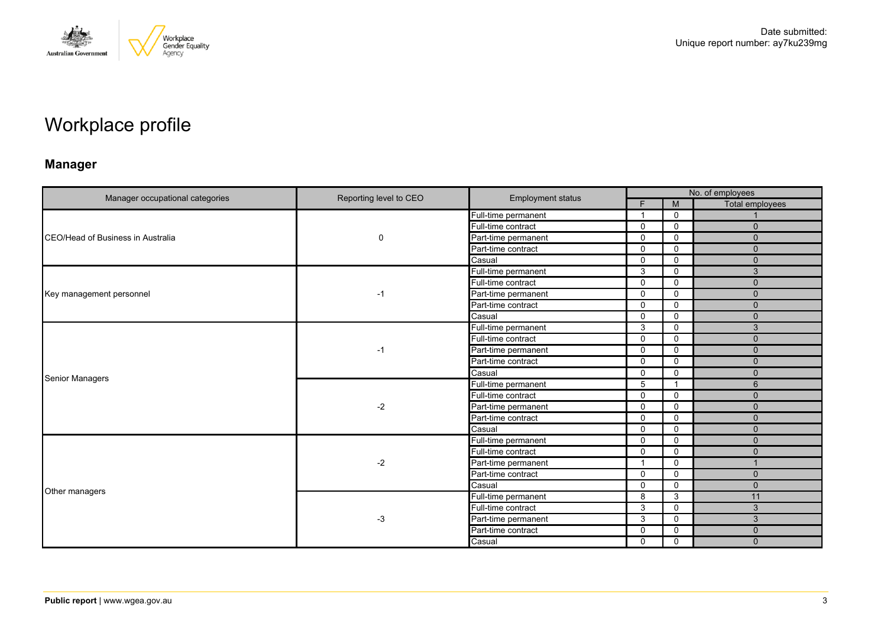

# Workplace profile

# **Manager**

|                                          | Reporting level to CEO | <b>Employment status</b> |              |                | No. of employees |  |  |
|------------------------------------------|------------------------|--------------------------|--------------|----------------|------------------|--|--|
|                                          |                        |                          | F            | M              | Total employees  |  |  |
|                                          |                        | Full-time permanent      | -1           | $\mathbf 0$    |                  |  |  |
|                                          |                        | Full-time contract       | 0            | $\mathbf 0$    | $\mathbf{0}$     |  |  |
| CEO/Head of Business in Australia        | 0                      | Part-time permanent      | $\Omega$     | $\mathbf 0$    | $\Omega$         |  |  |
|                                          |                        | Part-time contract       | $\mathbf 0$  | $\mathbf 0$    | $\mathbf{0}$     |  |  |
|                                          |                        | Casual                   | 0            | $\mathbf 0$    | $\mathbf{0}$     |  |  |
|                                          |                        | Full-time permanent      | 3            | $\mathbf 0$    | 3                |  |  |
|                                          |                        | Full-time contract       | $\mathbf 0$  | $\mathbf 0$    | $\mathbf{0}$     |  |  |
| Key management personnel                 | $-1$                   | Part-time permanent      | 0            | $\Omega$       | $\mathbf{0}$     |  |  |
| Manager occupational categories          |                        | Part-time contract       | $\Omega$     | $\Omega$       | $\Omega$         |  |  |
|                                          |                        | Casual                   | $\mathbf 0$  | $\mathbf 0$    | $\mathbf{0}$     |  |  |
|                                          |                        | Full-time permanent      | 3            | 0              | 3                |  |  |
|                                          | $-1$                   | Full-time contract       | $\Omega$     | $\mathbf 0$    | $\mathbf{0}$     |  |  |
|                                          |                        | Part-time permanent      | $\mathbf{0}$ | $\mathbf 0$    | $\mathbf{0}$     |  |  |
|                                          |                        | Part-time contract       | 0            | 0              | $\mathbf{0}$     |  |  |
|                                          |                        | Casual                   | $\Omega$     | $\mathbf 0$    | $\Omega$         |  |  |
|                                          |                        | Full-time permanent      | 5            | $\overline{1}$ | 6                |  |  |
|                                          |                        | Full-time contract       | 0            | 0              | $\mathbf{0}$     |  |  |
|                                          | $-2$                   | Part-time permanent      | $\Omega$     | $\Omega$       | $\Omega$         |  |  |
|                                          |                        | Part-time contract       | 0            | $\mathbf 0$    | $\mathbf{0}$     |  |  |
|                                          |                        | Casual                   | $\Omega$     | 0              | $\mathbf{0}$     |  |  |
|                                          |                        | Full-time permanent      | $\mathbf 0$  | $\mathbf 0$    | $\mathbf{0}$     |  |  |
|                                          |                        | Full-time contract       | 0            | $\Omega$       | $\mathbf{0}$     |  |  |
|                                          | $-2$                   | Part-time permanent      | -1           | 0              |                  |  |  |
|                                          |                        | Part-time contract       | $\mathbf{0}$ | $\mathbf 0$    | $\mathbf{0}$     |  |  |
|                                          |                        | Casual                   | 0            | $\mathbf 0$    | $\mathbf{0}$     |  |  |
|                                          |                        | Full-time permanent      | 8            | 3              | 11               |  |  |
|                                          |                        | Full-time contract       | 3            | $\mathbf 0$    | 3                |  |  |
|                                          | $-3$                   | Part-time permanent      | 3            | 0              | 3                |  |  |
|                                          |                        | Part-time contract       | $\Omega$     | 0              | $\mathbf 0$      |  |  |
| <b>Senior Managers</b><br>Other managers |                        | Casual                   | 0            | $\mathbf 0$    | $\mathbf{0}$     |  |  |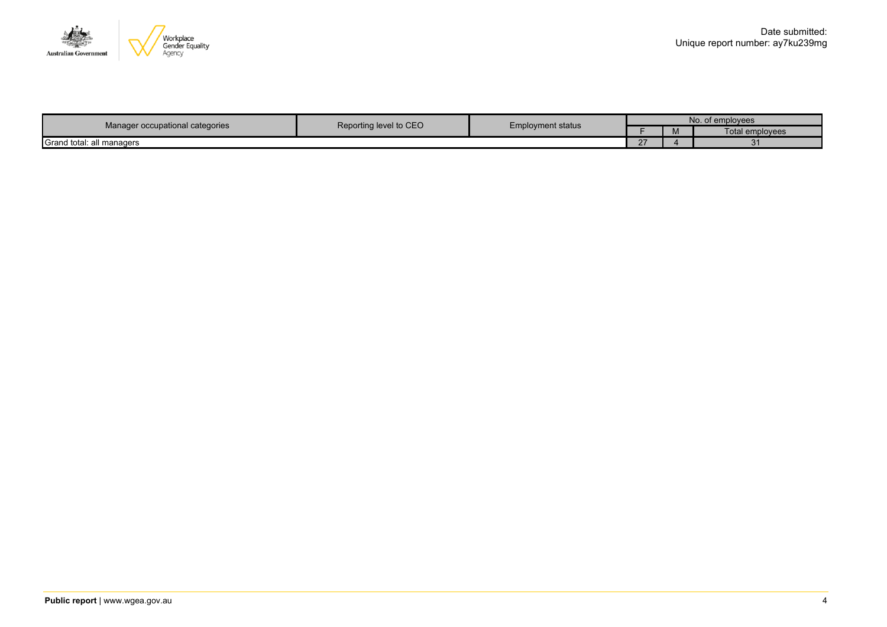

| Manager occupational categories | Reporting level to CEO |                   | No.<br>of employees |          |                 |  |
|---------------------------------|------------------------|-------------------|---------------------|----------|-----------------|--|
|                                 |                        | Employment status |                     | <b>M</b> | Total emplovees |  |
| Grand total: all managers       |                        |                   |                     |          | $\cdot$         |  |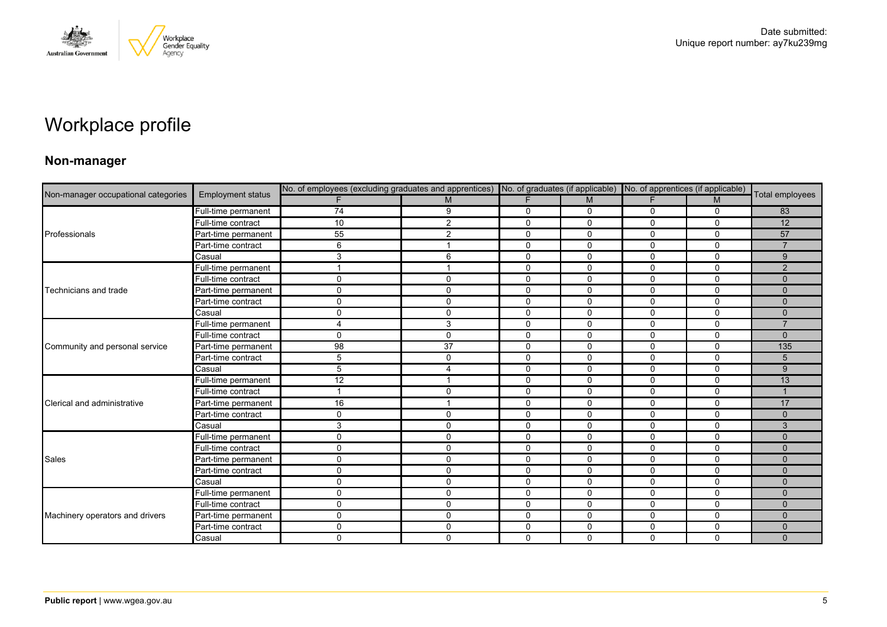

# Workplace profile

### **Non-manager**

|                                                                                                                                                         |                          | No. of employees (excluding graduates and apprentices) No. of graduates (if applicable) No. of apprentices (if applicable) |              |              |              |              |              |                 |
|---------------------------------------------------------------------------------------------------------------------------------------------------------|--------------------------|----------------------------------------------------------------------------------------------------------------------------|--------------|--------------|--------------|--------------|--------------|-----------------|
|                                                                                                                                                         | <b>Employment status</b> |                                                                                                                            | M            | F            | M            | F.           | M            | Total employees |
|                                                                                                                                                         | Full-time permanent      | $\overline{74}$                                                                                                            | 9            | 0            | 0            | 0            | 0            | 83              |
|                                                                                                                                                         | Full-time contract       | 10                                                                                                                         | 2            | $\mathbf{0}$ | $\mathbf{0}$ | $\Omega$     | $\mathbf{0}$ | 12              |
| Non-manager occupational categories<br>Professionals<br>Technicians and trade<br>Community and personal service<br>Clerical and administrative<br>Sales | Part-time permanent      | 55                                                                                                                         | 2            | $\mathbf 0$  | 0            | 0            | $\mathbf 0$  | 57              |
|                                                                                                                                                         | Part-time contract       | 6                                                                                                                          |              | 0            | 0            | $\Omega$     | $\mathbf 0$  |                 |
|                                                                                                                                                         | Casual                   | 3                                                                                                                          | 6            | $\mathbf{0}$ | $\mathbf{0}$ | $\Omega$     | $\Omega$     | 9               |
|                                                                                                                                                         | Full-time permanent      |                                                                                                                            |              | $\mathbf 0$  | $\mathbf 0$  | 0            | $\mathbf 0$  | 2               |
|                                                                                                                                                         | Full-time contract       | 0                                                                                                                          | $\mathbf{0}$ | 0            | $\mathbf 0$  | 0            | $\mathbf 0$  | $\mathbf{0}$    |
|                                                                                                                                                         | Part-time permanent      | $\mathsf{O}$                                                                                                               | $\mathbf 0$  | 0            | $\mathbf 0$  | 0            | $\mathbf 0$  | $\Omega$        |
|                                                                                                                                                         | Part-time contract       | $\mathbf 0$                                                                                                                | $\Omega$     | $\mathbf{0}$ | $\mathbf{0}$ | $\Omega$     | $\Omega$     | $\Omega$        |
|                                                                                                                                                         | Casual                   | 0                                                                                                                          | $\mathbf 0$  | $\mathbf 0$  | $\mathbf 0$  | $\mathbf 0$  | $\mathbf 0$  | $\Omega$        |
|                                                                                                                                                         | Full-time permanent      | 4                                                                                                                          | 3            | $\mathbf 0$  | 0            | $\Omega$     | $\Omega$     |                 |
|                                                                                                                                                         | Full-time contract       | $\Omega$                                                                                                                   | $\Omega$     | $\mathbf 0$  | 0            | 0            | $\mathbf 0$  | $\Omega$        |
|                                                                                                                                                         | Part-time permanent      | 98                                                                                                                         | 37           | $\mathbf 0$  | $\mathbf 0$  | $\mathbf 0$  | $\mathbf 0$  | 135             |
|                                                                                                                                                         | Part-time contract       | 5                                                                                                                          | $\mathbf 0$  | $\mathbf 0$  | $\mathbf 0$  | $\mathbf{0}$ | $\mathbf 0$  | 5               |
|                                                                                                                                                         | Casual                   | 5                                                                                                                          | 4            | $\mathbf 0$  | $\Omega$     | 0            | $\Omega$     | 9               |
|                                                                                                                                                         | Full-time permanent      | 12                                                                                                                         |              | $\Omega$     | $\mathbf{0}$ | $\Omega$     | $\Omega$     | 13              |
|                                                                                                                                                         | Full-time contract       |                                                                                                                            | 0            | $\mathbf 0$  | $\mathbf 0$  | 0            | 0            |                 |
|                                                                                                                                                         | Part-time permanent      | 16                                                                                                                         |              | $\Omega$     | $\Omega$     | 0            | $\Omega$     | 17              |
|                                                                                                                                                         | Part-time contract       | $\mathbf 0$                                                                                                                | $\mathbf 0$  | $\mathbf 0$  | 0            | 0            | $\mathbf 0$  | $\mathbf{0}$    |
|                                                                                                                                                         | Casual                   | 3                                                                                                                          | $\mathbf 0$  | $\mathbf 0$  | $\mathbf 0$  | $\mathbf 0$  | 0            | 3               |
|                                                                                                                                                         | Full-time permanent      | $\mathbf 0$                                                                                                                | $\mathbf 0$  | $\mathbf 0$  | $\mathbf 0$  | 0            | $\mathbf 0$  | $\Omega$        |
|                                                                                                                                                         | Full-time contract       | 0                                                                                                                          | $\mathbf{0}$ | $\mathbf 0$  | $\Omega$     | $\Omega$     | $\Omega$     | $\Omega$        |
|                                                                                                                                                         | Part-time permanent      | $\mathbf 0$                                                                                                                | $\mathbf{0}$ | $\mathbf 0$  | $\mathbf 0$  | 0            | $\mathbf 0$  | $\mathbf{0}$    |
|                                                                                                                                                         | Part-time contract       | 0                                                                                                                          | $\mathbf 0$  | $\mathbf 0$  | $\mathbf 0$  | 0            | $\mathbf 0$  | $\Omega$        |
|                                                                                                                                                         | Casual                   | 0                                                                                                                          | $\mathbf 0$  | $\mathbf 0$  | 0            | 0            | $\mathbf 0$  | $\Omega$        |
|                                                                                                                                                         | Full-time permanent      | $\mathbf 0$                                                                                                                | $\Omega$     | 0            | 0            | 0            | 0            | $\mathbf{0}$    |
|                                                                                                                                                         | Full-time contract       | $\mathsf{O}$                                                                                                               | $\mathbf 0$  | $\mathbf 0$  | $\mathbf 0$  | 0            | $\mathbf 0$  | $\Omega$        |
| Machinery operators and drivers                                                                                                                         | Part-time permanent      | $\mathbf 0$                                                                                                                | $\mathbf 0$  | $\mathbf 0$  | 0            | 0            | $\mathbf 0$  | $\mathbf 0$     |
|                                                                                                                                                         | Part-time contract       | 0                                                                                                                          | $\Omega$     | 0            | 0            | 0            | 0            | $\mathbf{0}$    |
|                                                                                                                                                         | Casual                   | $\mathbf 0$                                                                                                                | $\mathbf 0$  | $\mathbf 0$  | $\Omega$     | $\Omega$     | $\mathbf 0$  | $\Omega$        |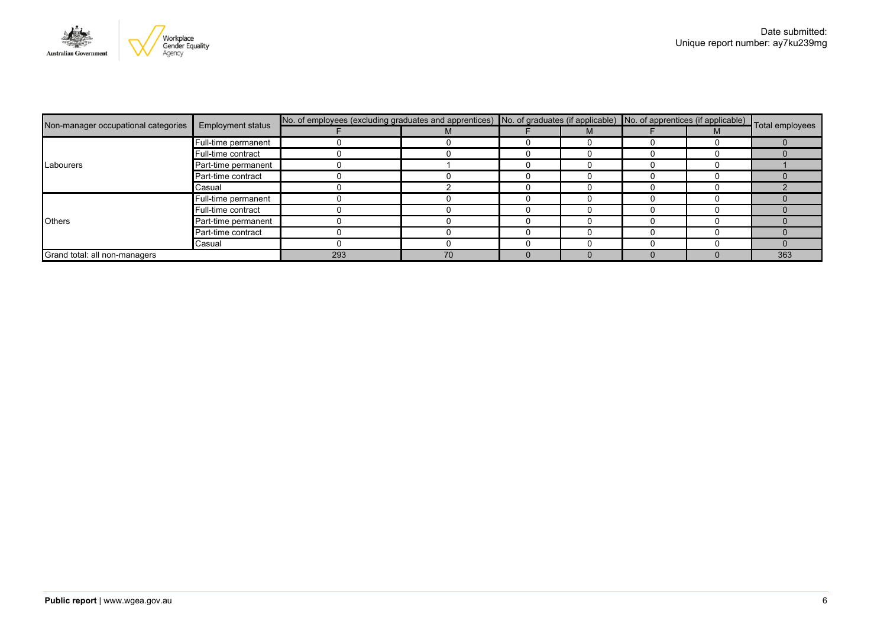

| Non-manager occupational categories<br>Labourers<br><b>Others</b> | <b>Employment status</b> | No. of employees (excluding graduates and apprentices) No. of graduates (if applicable) No. of apprentices (if applicable) Total employees |    |  |   |  |   |     |
|-------------------------------------------------------------------|--------------------------|--------------------------------------------------------------------------------------------------------------------------------------------|----|--|---|--|---|-----|
|                                                                   |                          |                                                                                                                                            |    |  | M |  | M |     |
|                                                                   | Full-time permanent      |                                                                                                                                            |    |  |   |  |   |     |
|                                                                   | Full-time contract       |                                                                                                                                            |    |  |   |  |   |     |
|                                                                   | Part-time permanent      |                                                                                                                                            |    |  |   |  |   |     |
|                                                                   | Part-time contract       |                                                                                                                                            |    |  |   |  |   |     |
|                                                                   | Casual                   |                                                                                                                                            |    |  |   |  |   |     |
|                                                                   | Full-time permanent      |                                                                                                                                            |    |  |   |  |   |     |
|                                                                   | Full-time contract       |                                                                                                                                            |    |  |   |  |   |     |
|                                                                   | Part-time permanent      |                                                                                                                                            |    |  |   |  |   |     |
|                                                                   | Part-time contract       |                                                                                                                                            |    |  |   |  |   |     |
|                                                                   | Casual                   |                                                                                                                                            |    |  |   |  |   |     |
| Grand total: all non-managers                                     |                          | 293                                                                                                                                        | 70 |  |   |  |   | 363 |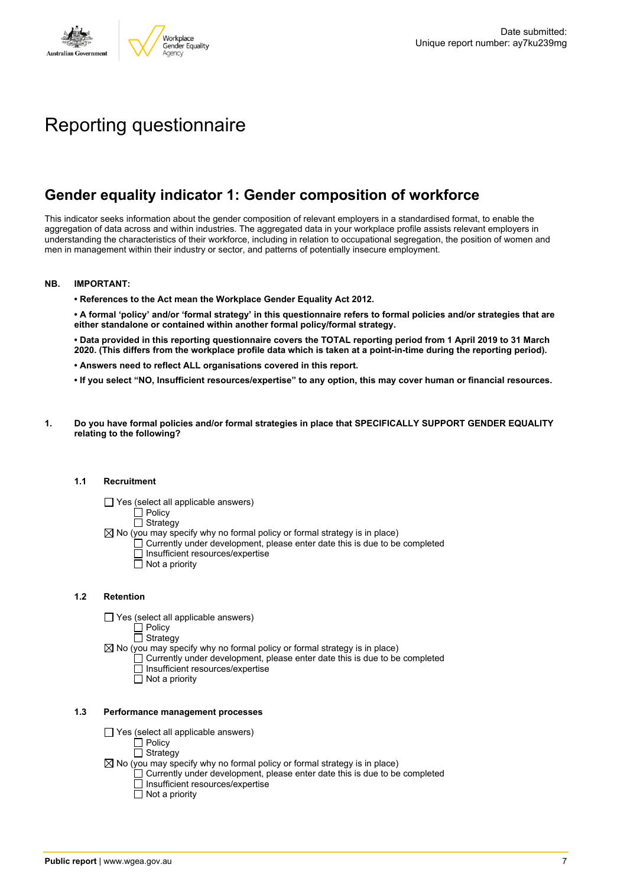

# Reporting questionnaire

# **Gender equality indicator 1: Gender composition of workforce**

This indicator seeks information about the gender composition of relevant employers in a standardised format, to enable the aggregation of data across and within industries. The aggregated data in your workplace profile assists relevant employers in understanding the characteristics of their workforce, including in relation to occupational segregation, the position of women and men in management within their industry or sector, and patterns of potentially insecure employment.

#### **NB. IMPORTANT:**

**• References to the Act mean the Workplace Gender Equality Act 2012.**

• A formal 'policy' and/or 'formal strategy' in this questionnaire refers to formal policies and/or strategies that are **either standalone or contained within another formal policy/formal strategy.**

• Data provided in this reporting questionnaire covers the TOTAL reporting period from 1 April 2019 to 31 March 2020. (This differs from the workplace profile data which is taken at a point-in-time during the reporting period).

- **• Answers need to reflect ALL organisations covered in this report.**
- . If you select "NO, Insufficient resources/expertise" to any option, this may cover human or financial resources.
- **1. Do you have formal policies and/or formal strategies in place that SPECIFICALLY SUPPORT GENDER EQUALITY relating to the following?**

#### **1.1 Recruitment**

- $\Box$  Yes (select all applicable answers)
	- $\Box$  Policy
	- $\Box$  Strategy
- $\boxtimes$  No (you may specify why no formal policy or formal strategy is in place)
	- $\Box$  Currently under development, please enter date this is due to be completed
		- $\overline{\Box}$  Insufficient resources/expertise
		- $\Box$  Not a priority

#### **1.2 Retention**

- $\Box$  Yes (select all applicable answers)
	- $\Box$  Policy
	- $\Box$  Strategy
- $\boxtimes$  No (you may specify why no formal policy or formal strategy is in place)
	- $\Box$  Currently under development, please enter date this is due to be completed
		- Insufficient resources/expertise
		- Not a priority

#### **1.3 Performance management processes**

- $\Box$  Yes (select all applicable answers)
	- $\overline{\Box}$  Policy
	- $\Box$  Strategy
- $\boxtimes$  No (you may specify why no formal policy or formal strategy is in place)
	- $\Box$  Currently under development, please enter date this is due to be completed
	- $\Box$  Insufficient resources/expertise
	- $\Box$  Not a priority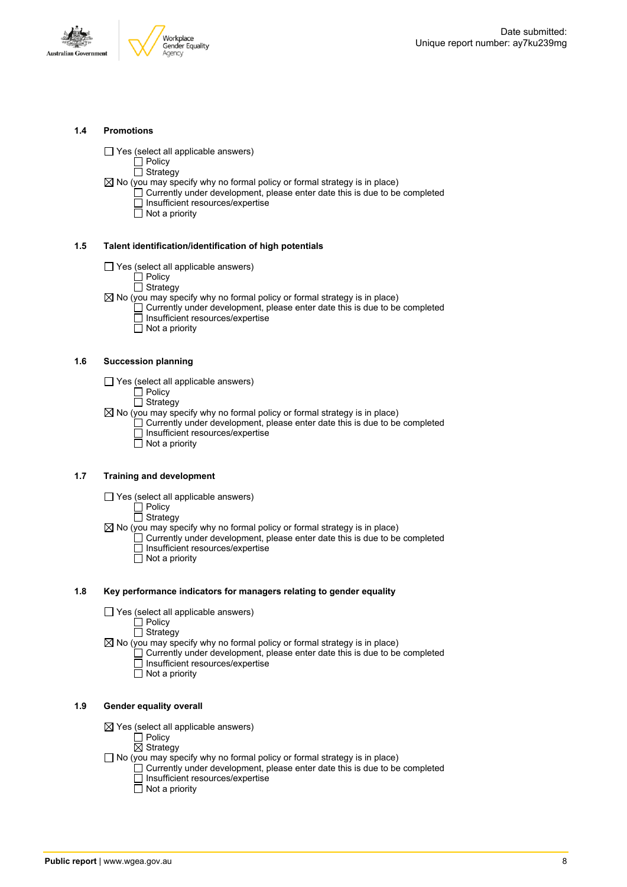



#### **1.4 Promotions**

 $\Box$  Yes (select all applicable answers)

 $\Box$  Policy  $\overline{\Box}$  Strategy

- $\boxtimes$  No (you may specify why no formal policy or formal strategy is in place)
	- $\Box$  Currently under development, please enter date this is due to be completed □ Insufficient resources/expertise
		- $\overline{\Box}$  Not a priority

#### **1.5 Talent identification/identification of high potentials**

- Yes (select all applicable answers)
	- Policy
	- □ Strategy
- $\boxtimes$  No (you may specify why no formal policy or formal strategy is in place)
	- Currently under development, please enter date this is due to be completed Insufficient resources/expertise
		- $\overline{\Box}$  Not a priority

#### **1.6 Succession planning**

- $\Box$  Yes (select all applicable answers)
	- Policy
	- Strategy
- $\boxtimes$  No (you may specify why no formal policy or formal strategy is in place)  $\Box$  Currently under development, please enter date this is due to be completed Insufficient resources/expertise Not a priority

#### **1.7 Training and development**

- $\Box$  Yes (select all applicable answers)
	- $\Box$  Policy
	- $\Box$  Strategy
- $\boxtimes$  No (you may specify why no formal policy or formal strategy is in place)
	- Currently under development, please enter date this is due to be completed Insufficient resources/expertise
		- $\Box$  Not a priority

#### **1.8 Key performance indicators for managers relating to gender equality**

- $\Box$  Yes (select all applicable answers)
	- Policy
	- **Strategy**
- $\boxtimes$  No (you may specify why no formal policy or formal strategy is in place)
	- $\Box$  Currently under development, please enter date this is due to be completed Insufficient resources/expertise
		- Not a priority

#### **1.9 Gender equality overall**

- $\boxtimes$  Yes (select all applicable answers)
	- $\Box$  Policy
	- $\overline{\boxtimes}$  Strategy
- $\Box$  No (you may specify why no formal policy or formal strategy is in place)
	- $\Box$  Currently under development, please enter date this is due to be completed □ Insufficient resources/expertise
		- $\Box$  Not a priority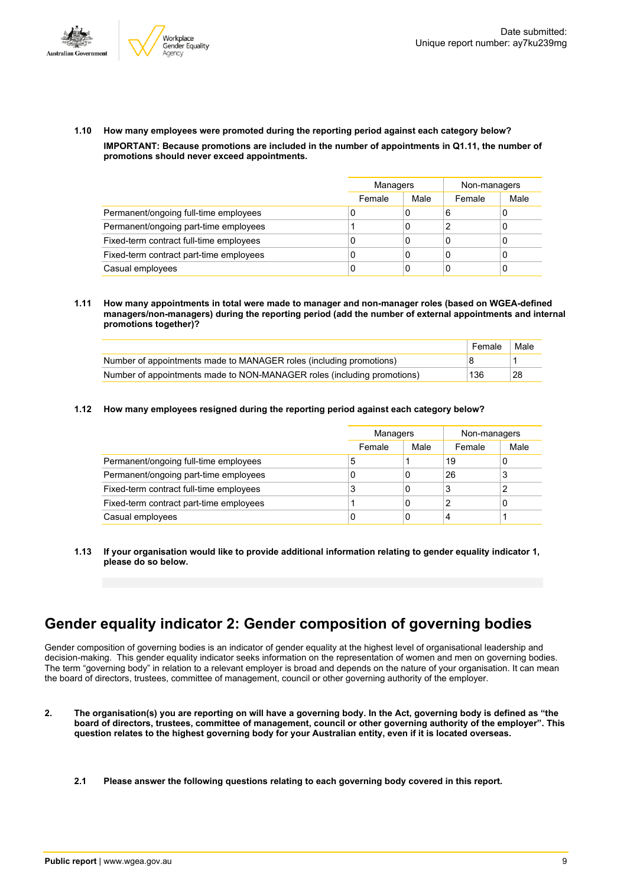



**1.10 How many employees were promoted during the reporting period against each category below? IMPORTANT: Because promotions are included in the number of appointments in Q1.11, the number of promotions should never exceed appointments.**

|                                         | Managers |      | Non-managers |      |  |
|-----------------------------------------|----------|------|--------------|------|--|
|                                         | Female   | Male | Female       | Male |  |
| Permanent/ongoing full-time employees   | 0        | 0    | 6            |      |  |
| Permanent/ongoing part-time employees   |          | 0    |              |      |  |
| Fixed-term contract full-time employees | 0        | 0    | 0            | U    |  |
| Fixed-term contract part-time employees | 0        | 0    | 0            |      |  |
| Casual employees                        | 0        | 0    | C            |      |  |

**1.11 How many appointments in total were made to manager and non-manager roles (based on WGEA-defined managers/non-managers) during the reporting period (add the number of external appointments and internal promotions together)?**

|                                                                         | Female | Male |
|-------------------------------------------------------------------------|--------|------|
| Number of appointments made to MANAGER roles (including promotions)     |        |      |
| Number of appointments made to NON-MANAGER roles (including promotions) | 136    | 28   |

**1.12 How many employees resigned during the reporting period against each category below?**

|                                         | Managers |      | Non-managers |      |
|-----------------------------------------|----------|------|--------------|------|
|                                         | Female   | Male | Female       | Male |
| Permanent/ongoing full-time employees   | 5        |      | 19           | 0    |
| Permanent/ongoing part-time employees   | C        | 0    | 26           | 3    |
| Fixed-term contract full-time employees | 3        | 0    |              | າ    |
| Fixed-term contract part-time employees |          | 0    |              | 0    |
| Casual employees                        | C        | 0    | 4            |      |

**1.13 If your organisation would like to provide additional information relating to gender equality indicator 1, please do so below.**

# **Gender equality indicator 2: Gender composition of governing bodies**

Gender composition of governing bodies is an indicator of gender equality at the highest level of organisational leadership and decision-making. This gender equality indicator seeks information on the representation of women and men on governing bodies. The term "governing body" in relation to a relevant employer is broad and depends on the nature of your organisation. It can mean the board of directors, trustees, committee of management, council or other governing authority of the employer.

- 2. The organisation(s) you are reporting on will have a governing body. In the Act, governing body is defined as "the board of directors, trustees, committee of management, council or other governing authority of the employer". This question relates to the highest governing body for your Australian entity, even if it is located overseas.
	- **2.1 Please answer the following questions relating to each governing body covered in this report.**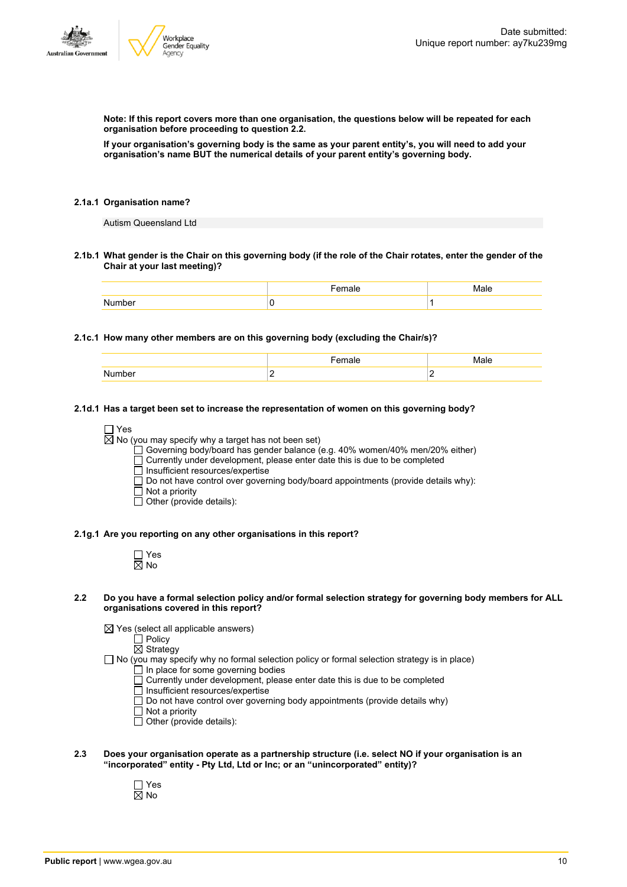

**Note: If this report covers more than one organisation, the questions below will be repeated for each organisation before proceeding to question 2.2.**

If your organisation's governing body is the same as your parent entity's, you will need to add your **organisation's name BUT the numerical details of your parent entity's governing body.**

#### **2.1a.1 Organisation name?**

Autism Queensland Ltd

2.1b.1 What gender is the Chair on this governing body (if the role of the Chair rotates, enter the gender of the **Chair at your last meeting)?**

#### **2.1c.1 How many other members are on this governing body (excluding the Chair/s)?**

| umne. | - |  |
|-------|---|--|

#### **2.1d.1 Has a target been set to increase the representation of women on this governing body?**

 $\Box$  Yes

 $\boxtimes$  No (you may specify why a target has not been set)

Governing body/board has gender balance (e.g. 40% women/40% men/20% either)

Currently under development, please enter date this is due to be completed

 $\overline{\Box}$  Insufficient resources/expertise

 $\square$  Do not have control over governing body/board appointments (provide details why):

- $\Box$  Not a priority
- Other (provide details):

#### **2.1g.1 Are you reporting on any other organisations in this report?**

| n<br>۸ľ<br>Y, |
|---------------|

#### 2.2 Do you have a formal selection policy and/or formal selection strategy for governing body members for ALL **organisations covered in this report?**

 $\boxtimes$  Yes (select all applicable answers)

Policy

Strategy  $\Box$  No (you may specify why no formal selection policy or formal selection strategy is in place)

- In place for some governing bodies
- Currently under development, please enter date this is due to be completed
- Insufficient resources/expertise
- $\Box$  Do not have control over governing body appointments (provide details why)
- $\overline{\Box}$  Not a priority
- $\Box$  Other (provide details):
- **2.3 Does your organisation operate as a partnership structure (i.e. select NO if your organisation is an "incorporated" entity - Pty Ltd, Ltd or Inc; or an "unincorporated" entity)?**
	- Yes  $\overline{\boxtimes}$  No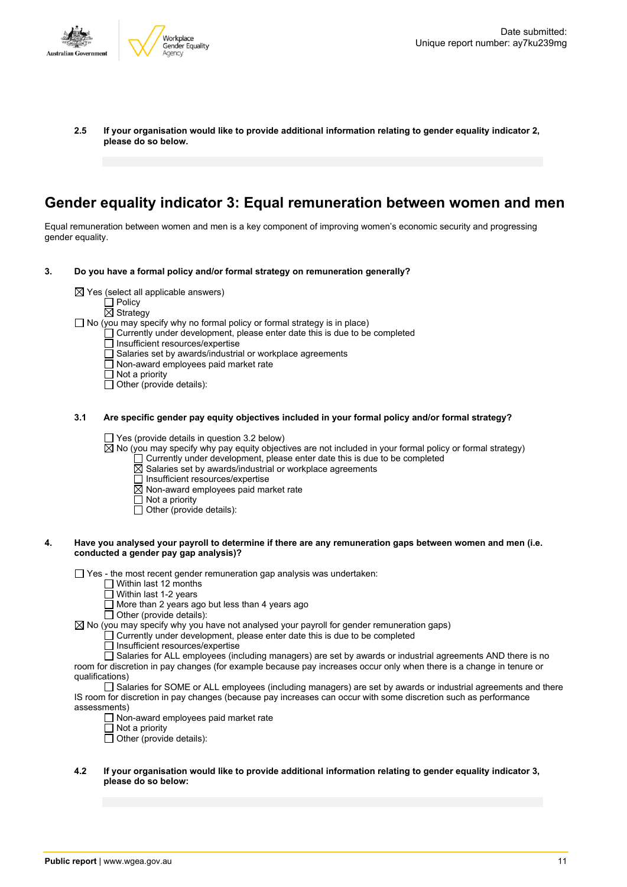

**2.5 If your organisation would like to provide additional information relating to gender equality indicator 2, please do so below.**

# **Gender equality indicator 3: Equal remuneration between women and men**

Equal remuneration between women and men is a key component of improving women's economic security and progressing gender equality.

- **3. Do you have a formal policy and/or formal strategy on remuneration generally?**
	- $\boxtimes$  Yes (select all applicable answers)
		-
		- $\Box$  Policy
		- $\overline{\boxtimes}$  Strategy
	- $\Box$  No (you may specify why no formal policy or formal strategy is in place)
		- Currently under development, please enter date this is due to be completed
		- Insufficient resources/expertise
		- Salaries set by awards/industrial or workplace agreements
		- $\overline{\Box}$  Non-award employees paid market rate
		- $\Box$  Not a priority
		- $\Box$  Other (provide details):

#### **3.1 Are specific gender pay equity objectives included in your formal policy and/or formal strategy?**

 $\Box$  Yes (provide details in question 3.2 below)

 $\overline{\boxtimes}$  No (you may specify why pay equity objectives are not included in your formal policy or formal strategy)

- $\Box$  Currently under development, please enter date this is due to be completed
- $\overline{\boxtimes}$  Salaries set by awards/industrial or workplace agreements
- $\Box$  Insufficient resources/expertise
- $\overline{\boxtimes}$  Non-award employees paid market rate
- $\Box$  Not a priority
- $\Box$  Other (provide details):

#### 4. Have you analysed your payroll to determine if there are any remuneration gaps between women and men (i.e. **conducted a gender pay gap analysis)?**

 $\Box$  Yes - the most recent gender remuneration gap analysis was undertaken:

- $\Box$  Within last 12 months
- $\Box$  Within last 1-2 years
- □ More than 2 years ago but less than 4 years ago
- $\Box$  Other (provide details):

 $\boxtimes$  No (you may specify why you have not analysed your payroll for gender remuneration gaps)

 $\Box$  Currently under development, please enter date this is due to be completed

Insufficient resources/expertise

Salaries for ALL employees (including managers) are set by awards or industrial agreements AND there is no room for discretion in pay changes (for example because pay increases occur only when there is a change in tenure or qualifications)

□ Salaries for SOME or ALL employees (including managers) are set by awards or industrial agreements and there IS room for discretion in pay changes (because pay increases can occur with some discretion such as performance assessments)

- $\Box$  Non-award employees paid market rate
- $\Box$  Not a priority
- $\Box$  Not a phonty<br> $\Box$  Other (provide details):

#### **4.2 If your organisation would like to provide additional information relating to gender equality indicator 3, please do so below:**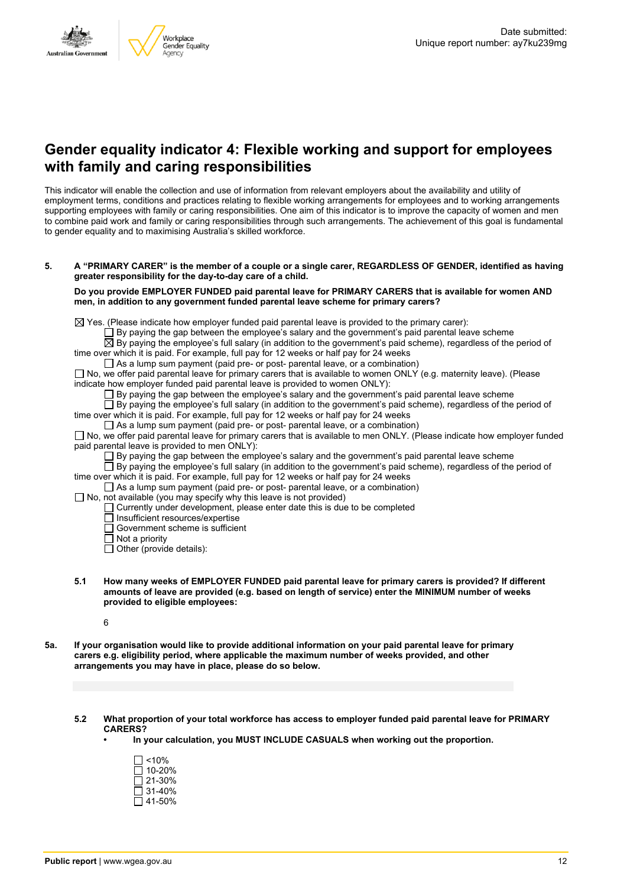### **Gender equality indicator 4: Flexible working and support for employees with family and caring responsibilities**

This indicator will enable the collection and use of information from relevant employers about the availability and utility of employment terms, conditions and practices relating to flexible working arrangements for employees and to working arrangements supporting employees with family or caring responsibilities. One aim of this indicator is to improve the capacity of women and men to combine paid work and family or caring responsibilities through such arrangements. The achievement of this goal is fundamental to gender equality and to maximising Australia's skilled workforce.

5. A "PRIMARY CARER" is the member of a couple or a single carer, REGARDLESS OF GENDER, identified as having **greater responsibility for the day-to-day care of a child.**

**Do you provide EMPLOYER FUNDED paid parental leave for PRIMARY CARERS that is available for women AND men, in addition to any government funded parental leave scheme for primary carers?**

 $\boxtimes$  Yes. (Please indicate how employer funded paid parental leave is provided to the primary carer):

By paying the gap between the employee's salary and the government's paid parental leave scheme

By paying the employee's full salary (in addition to the government's paid scheme), regardless of the period of time over which it is paid. For example, full pay for 12 weeks or half pay for 24 weeks

 $\Box$  As a lump sum payment (paid pre- or post- parental leave, or a combination)

 $\Box$  No, we offer paid parental leave for primary carers that is available to women ONLY (e.g. maternity leave). (Please indicate how employer funded paid parental leave is provided to women ONLY):

 $\Box$  By paying the gap between the employee's salary and the government's paid parental leave scheme

 $\square$  By paying the employee's full salary (in addition to the government's paid scheme), regardless of the period of time over which it is paid. For example, full pay for 12 weeks or half pay for 24 weeks

 $\Box$  As a lump sum payment (paid pre- or post- parental leave, or a combination)

No, we offer paid parental leave for primary carers that is available to men ONLY. (Please indicate how employer funded paid parental leave is provided to men ONLY):

 $\square$  By paying the gap between the employee's salary and the government's paid parental leave scheme

 $\Box$  By paying the employee's full salary (in addition to the government's paid scheme), regardless of the period of time over which it is paid. For example, full pay for 12 weeks or half pay for 24 weeks

 $\Box$  As a lump sum payment (paid pre- or post- parental leave, or a combination)

 $\Box$  No, not available (you may specify why this leave is not provided)

- $\Box$  Currently under development, please enter date this is due to be completed
	- $\overline{\Box}$  Insufficient resources/expertise
	- $\Box$  Government scheme is sufficient
	- $\Box$  Not a priority
	- $\Box$  Other (provide details):
- **5.1 How many weeks of EMPLOYER FUNDED paid parental leave for primary carers is provided? If different amounts of leave are provided (e.g. based on length of service) enter the MINIMUM number of weeks provided to eligible employees:**

6

- 5a. If your organisation would like to provide additional information on your paid parental leave for primary **carers e.g. eligibility period, where applicable the maximum number of weeks provided, and other arrangements you may have in place, please do so below.**
	- **5.2 What proportion of your total workforce has access to employer funded paid parental leave for PRIMARY CARERS?**
		- **• In your calculation, you MUST INCLUDE CASUALS when working out the proportion.**

| $\Box$ <10% |  |
|-------------|--|
| □ 10-20%    |  |
| l 121-30%   |  |
| □ 31-40%    |  |
| □ 41-50%    |  |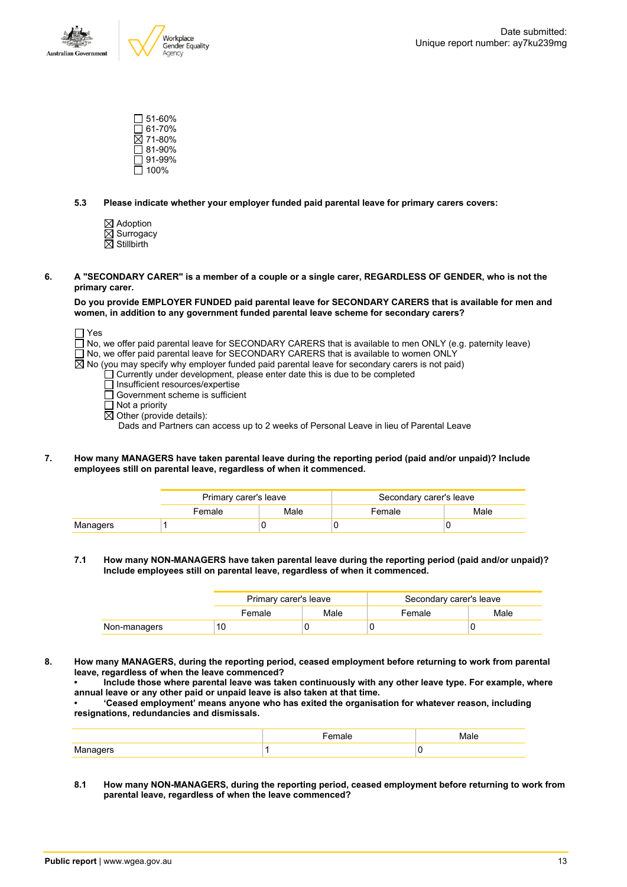

 $\square$  51-60%  $\Box$  61-70%  $\overline{\boxtimes}$  71-80% 81-90%  $\Box$  91-99%  $\Box$  100%

**5.3 Please indicate whether your employer funded paid parental leave for primary carers covers:**

- Adoption  $\boxtimes$  Surrogacy  $\overline{\boxtimes}$  Stillbirth
- 6. A "SECONDARY CARER" is a member of a couple or a single carer, REGARDLESS OF GENDER, who is not the **primary carer.**

**Do you provide EMPLOYER FUNDED paid parental leave for SECONDARY CARERS that is available for men and women, in addition to any government funded parental leave scheme for secondary carers?**

| $\sqsupset$ Yes                                                                                                   |
|-------------------------------------------------------------------------------------------------------------------|
| $\Box$ No, we offer paid parental leave for SECONDARY CARERS that is available to men ONLY (e.g. paternity leave) |
| No, we offer paid parental leave for SECONDARY CARERS that is available to women ONLY                             |
| $\boxtimes$ No (you may specify why employer funded paid parental leave for secondary carers is not paid)         |
| $\Box$ Currently under development, please enter date this is due to be completed                                 |
| □ Insufficient resources/expertise                                                                                |
| $\Box$ Government scheme is sufficient                                                                            |
| $\Box$ Not a priority                                                                                             |

 $\boxtimes$  Other (provide details):

Dads and Partners can access up to 2 weeks of Personal Leave in lieu of Parental Leave

**7. How many MANAGERS have taken parental leave during the reporting period (paid and/or unpaid)? Include employees still on parental leave, regardless of when it commenced.**

|          | Primary carer's leave |      | Secondary carer's leave |      |  |
|----------|-----------------------|------|-------------------------|------|--|
|          | Female                | Male | Female                  | Male |  |
| Managers |                       |      |                         |      |  |

**7.1 How many NON-MANAGERS have taken parental leave during the reporting period (paid and/or unpaid)? Include employees still on parental leave, regardless of when it commenced.**

|              | Primary carer's leave |      | Secondary carer's leave |      |
|--------------|-----------------------|------|-------------------------|------|
|              | Female                | Male | Female                  | Male |
| Non-managers | 10                    |      |                         |      |

**8. How many MANAGERS, during the reporting period, ceased employment before returning to work from parental leave, regardless of when the leave commenced?**

**• Include those where parental leave was taken continuously with any other leave type. For example, where annual leave or any other paid or unpaid leave is also taken at that time.**

**• 'Ceased employment' means anyone who has exited the organisation for whatever reason, including resignations, redundancies and dismissals.**

|             | -----<br>naie |  |
|-------------|---------------|--|
| NЛ<br>.<br> |               |  |

**8.1 How many NON-MANAGERS, during the reporting period, ceased employment before returning to work from parental leave, regardless of when the leave commenced?**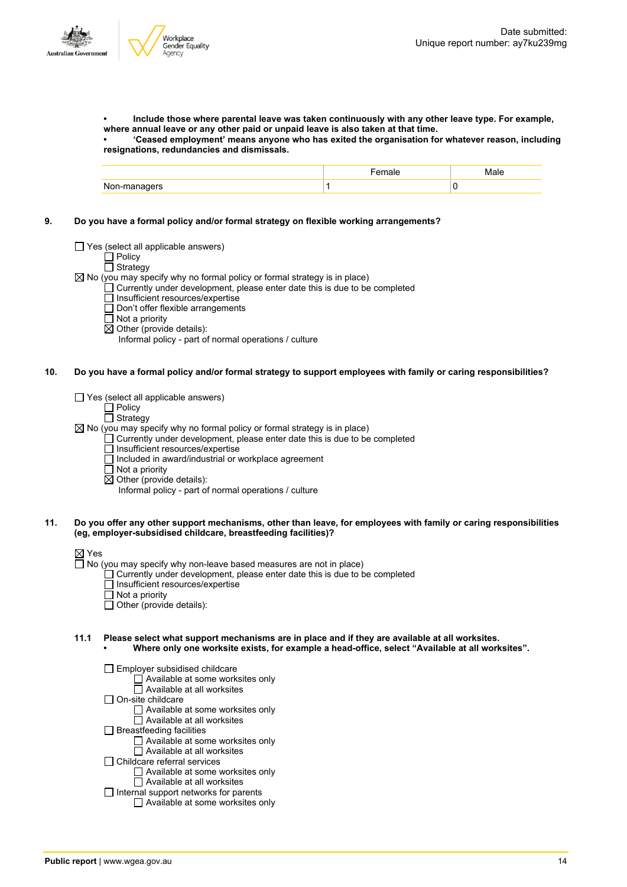**• Include those where parental leave was taken continuously with any other leave type. For example, where annual leave or any other paid or unpaid leave is also taken at that time.**

**• 'Ceased employment' means anyone who has exited the organisation for whatever reason, including resignations, redundancies and dismissals.**

|                   | $\blacksquare$ | Male |
|-------------------|----------------|------|
| Non-managers<br>ັ |                |      |

**9. Do you have a formal policy and/or formal strategy on flexible working arrangements?**

 $\Box$  Yes (select all applicable answers)

□ Policy  $\Box$  Strategy

 $\boxtimes$  No (you may specify why no formal policy or formal strategy is in place)

- $\Box$  Currently under development, please enter date this is due to be completed
	- $\Box$  Insufficient resources/expertise
	- Don't offer flexible arrangements
	- Not a priority
	- $\overline{\boxtimes}$  Other (provide details):
		- Informal policy part of normal operations / culture
- 10. Do you have a formal policy and/or formal strategy to support employees with family or caring responsibilities?
	- $\Box$  Yes (select all applicable answers)
		- $\Box$  Policy

#### $\overline{\Box}$  Strategy

 $\boxtimes$  No (you may specify why no formal policy or formal strategy is in place)

- Currently under development, please enter date this is due to be completed
	- Insufficient resources/expertise
	- $\Box$  Included in award/industrial or workplace agreement
	- $\Box$  Not a priority
	- $\overline{\boxtimes}$  Other (provide details):
		- Informal policy part of normal operations / culture
- 11. Do you offer any other support mechanisms, other than leave, for employees with family or caring responsibilities **(eg, employer-subsidised childcare, breastfeeding facilities)?**

#### ⊠ Yes

 $\Box$  No (you may specify why non-leave based measures are not in place)

- Currently under development, please enter date this is due to be completed
- Insufficient resources/expertise
- $\overline{\Box}$  Not a priority
- $\Box$  Other (provide details):
- **11.1 Please select what support mechanisms are in place and if they are available at all worksites. • Where only one worksite exists, for example a head-office, select "Available at all worksites".**
	- Employer subsidised childcare
		- $\Box$  Available at some worksites only
		- $\overline{\Box}$  Available at all worksites
	- $\Box$  On-site childcare
		- Available at some worksites only
		- Available at all worksites
	- $\Box$  Breastfeeding facilities
		- Available at some worksites only
		- Available at all worksites
	- Childcare referral services

Available at some worksites only

- □ Available at all worksites
- $\Box$  Internal support networks for parents Available at some worksites only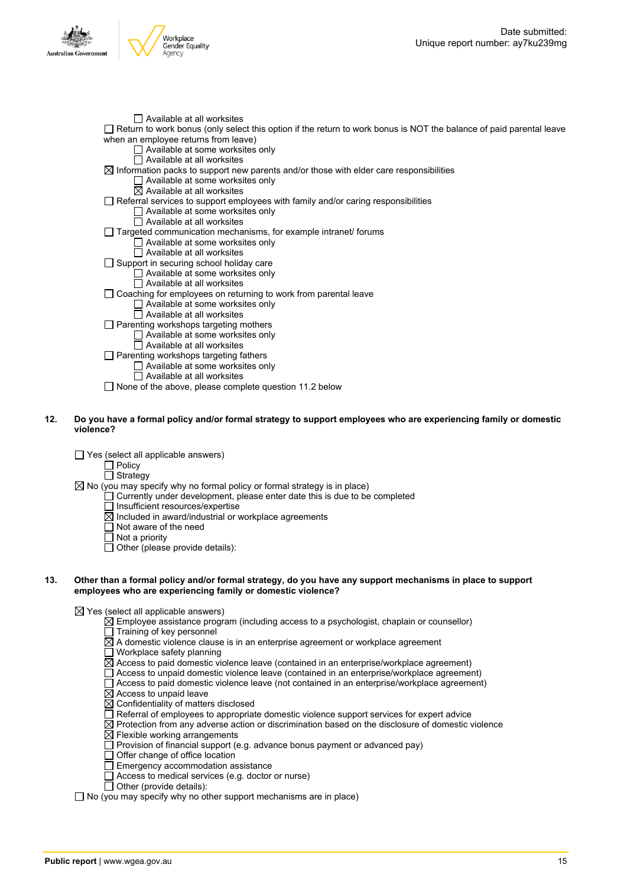

 $\Box$  Available at all worksites Return to work bonus (only select this option if the return to work bonus is NOT the balance of paid parental leave when an employee returns from leave) □ Available at some worksites only Available at all worksites  $\boxtimes$  Information packs to support new parents and/or those with elder care responsibilities  $\Box$  Available at some worksites only  $\overline{\boxtimes}$  Available at all worksites  $\Box$  Referral services to support employees with family and/or caring responsibilities □ Available at some worksites only  $\Box$  Available at all worksites Targeted communication mechanisms, for example intranet/ forums  $\Box$  Available at some worksites only Available at all worksites □ Support in securing school holiday care Available at some worksites only Available at all worksites  $\Box$  Coaching for employees on returning to work from parental leave □ Available at some worksites only  $\Box$  Available at all worksites  $\Box$  Parenting workshops targeting mothers  $\Box$  Available at some worksites only  $\Box$  Available at all worksites  $\Box$  Parenting workshops targeting fathers  $\Box$  Available at some worksites only  $\overline{\Box}$  Available at all worksites

□ None of the above, please complete question 11.2 below

#### 12. Do you have a formal policy and/or formal strategy to support employees who are experiencing family or domestic **violence?**

 $\Box$  Yes (select all applicable answers)

 $\overline{\Box}$  Policy □ Strategy

- $\boxtimes$  No (you may specify why no formal policy or formal strategy is in place)
	- Currently under development, please enter date this is due to be completed
		- Insufficient resources/expertise
		- $\boxtimes$  Included in award/industrial or workplace agreements
		- $\Box$  Not aware of the need
		- □ Not a priority
		- $\overline{\Box}$  Other (please provide details):

#### 13. Other than a formal policy and/or formal strategy, do you have any support mechanisms in place to support **employees who are experiencing family or domestic violence?**

 $\boxtimes$  Yes (select all applicable answers)

- $\boxtimes$  Employee assistance program (including access to a psychologist, chaplain or counsellor)
- $\Box$  Training of key personnel
- $\overline{\boxtimes}$  A domestic violence clause is in an enterprise agreement or workplace agreement
- $\Box$  Workplace safety planning
- $\overline{\boxtimes}$  Access to paid domestic violence leave (contained in an enterprise/workplace agreement)
- Access to unpaid domestic violence leave (contained in an enterprise/workplace agreement)
- $\Box$  Access to paid domestic violence leave (not contained in an enterprise/workplace agreement)
- $\boxtimes$  Access to unpaid leave
- $\boxtimes$  Confidentiality of matters disclosed
- $\Box$  Referral of employees to appropriate domestic violence support services for expert advice
- $\boxtimes$  Protection from any adverse action or discrimination based on the disclosure of domestic violence
- $\boxtimes$  Flexible working arrangements
- $\Box$  Provision of financial support (e.g. advance bonus payment or advanced pay)
- $\overline{\Box}$  Offer change of office location
- $\Box$  Emergency accommodation assistance
- $\Box$  Access to medical services (e.g. doctor or nurse)
- $\Box$  Other (provide details):

 $\Box$  No (you may specify why no other support mechanisms are in place)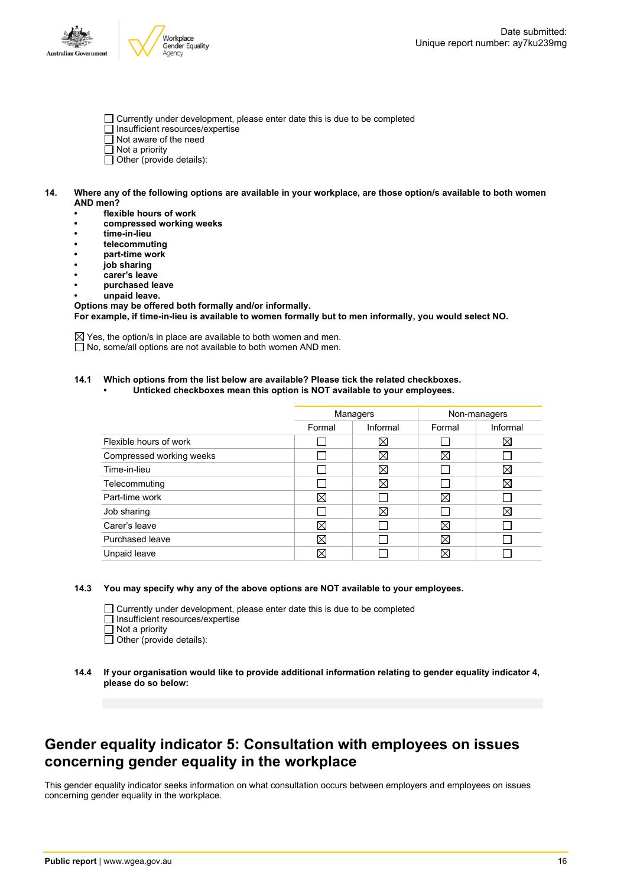

- Currently under development, please enter date this is due to be completed
- Insufficient resources/expertise
- $\overline{\Box}$  Not aware of the need
- $\Box$  Not a priority
- $\Box$  Other (provide details):
- 14. Where any of the following options are available in your workplace, are those option/s available to both women **AND men?**
	- **• flexible hours of work**
	- **• compressed working weeks**
	- **• time-in-lieu**
	- **• telecommuting**
	- **• part-time work**
	- **• job sharing**
	- **• carer's leave**
	- **• purchased leave**
	- **• unpaid leave.**

**Options may be offered both formally and/or informally. For example, if time-in-lieu is available to women formally but to men informally, you would select NO.**

 $\boxtimes$  Yes, the option/s in place are available to both women and men. □ No, some/all options are not available to both women AND men.

#### **14.1 Which options from the list below are available? Please tick the related checkboxes.**

**• Unticked checkboxes mean this option is NOT available to your employees.**

|                          | Managers |             | Non-managers |             |
|--------------------------|----------|-------------|--------------|-------------|
|                          | Formal   | Informal    | Formal       | Informal    |
| Flexible hours of work   |          | $\boxtimes$ |              | $\boxtimes$ |
| Compressed working weeks |          | X           | $\boxtimes$  |             |
| Time-in-lieu             |          | X           |              | $\boxtimes$ |
| Telecommuting            |          | $\boxtimes$ |              | $\boxtimes$ |
| Part-time work           | ⊠        |             | X            |             |
| Job sharing              |          | X           |              | ⊠           |
| Carer's leave            | ⊠        |             | $\boxtimes$  |             |
| Purchased leave          | ⊠        |             | $\boxtimes$  |             |
| Unpaid leave             | ⊠        |             | $\boxtimes$  |             |

#### **14.3 You may specify why any of the above options are NOT available to your employees.**

 $\Box$  Currently under development, please enter date this is due to be completed

- □ Insufficient resources/expertise
- $\Box$  Not a priority

 $\overline{\Box}$  Other (provide details):

### **Gender equality indicator 5: Consultation with employees on issues concerning gender equality in the workplace**

This gender equality indicator seeks information on what consultation occurs between employers and employees on issues concerning gender equality in the workplace.

**<sup>14.4</sup> If your organisation would like to provide additional information relating to gender equality indicator 4, please do so below:**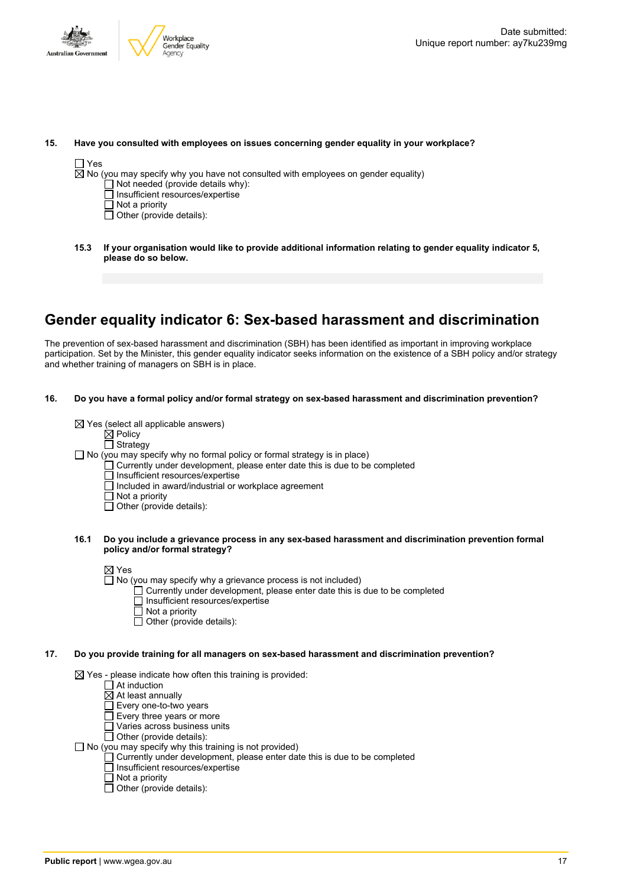

#### **15. Have you consulted with employees on issues concerning gender equality in your workplace?**

# $\Box$  Yes

 $\boxtimes$  No (you may specify why you have not consulted with employees on gender equality)

- Not needed (provide details why):
- Insufficient resources/expertise
- $\overline{\Box}$  Not a priority
- $\Box$  Other (provide details):
- **15.3 If your organisation would like to provide additional information relating to gender equality indicator 5, please do so below.**

### **Gender equality indicator 6: Sex-based harassment and discrimination**

The prevention of sex-based harassment and discrimination (SBH) has been identified as important in improving workplace participation. Set by the Minister, this gender equality indicator seeks information on the existence of a SBH policy and/or strategy and whether training of managers on SBH is in place.

**16. Do you have a formal policy and/or formal strategy on sex-based harassment and discrimination prevention?**

 $\boxtimes$  Yes (select all applicable answers)

 $\boxtimes$  Policy

 $\Box$  Strategy

 $\Box$  No (you may specify why no formal policy or formal strategy is in place)

- $\Box$  Currently under development, please enter date this is due to be completed
- □ Insufficient resources/expertise
- Included in award/industrial or workplace agreement
- Not a priority
- $\Box$  Other (provide details):

#### **16.1 Do you include a grievance process in any sex-based harassment and discrimination prevention formal policy and/or formal strategy?**

⊠ Yes

- $\Box$  No (you may specify why a grievance process is not included)
	- $\Box$  Currently under development, please enter date this is due to be completed
	- $\overline{\Box}$  Insufficient resources/expertise
	- $\Box$  Not a priority
	- $\Box$  Other (provide details):

#### **17. Do you provide training for all managers on sex-based harassment and discrimination prevention?**

 $\boxtimes$  Yes - please indicate how often this training is provided:

- $\Box$  At induction
- $\overline{\boxtimes}$  At least annually
- Every one-to-two years
- Every three years or more
- Varies across business units
- $\Box$  Other (provide details):
- $\Box$  No (you may specify why this training is not provided)
	- Currently under development, please enter date this is due to be completed
	- Insufficient resources/expertise
	- $\overline{\Box}$  Not a priority
	- $\Box$  Other (provide details):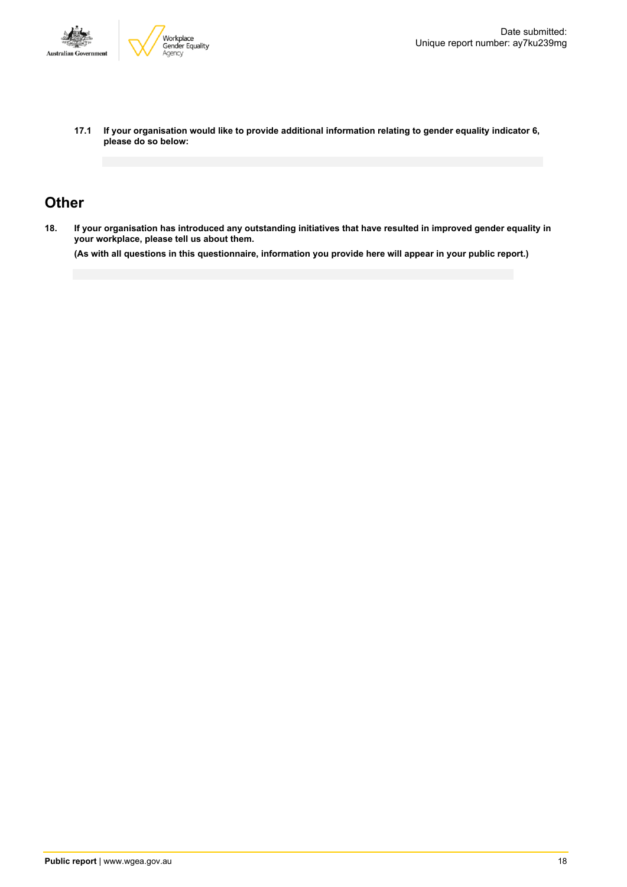

**17.1 If your organisation would like to provide additional information relating to gender equality indicator 6, please do so below:**

### **Other**

18. If your organisation has introduced any outstanding initiatives that have resulted in improved gender equality in **your workplace, please tell us about them.**

(As with all questions in this questionnaire, information you provide here will appear in your public report.)